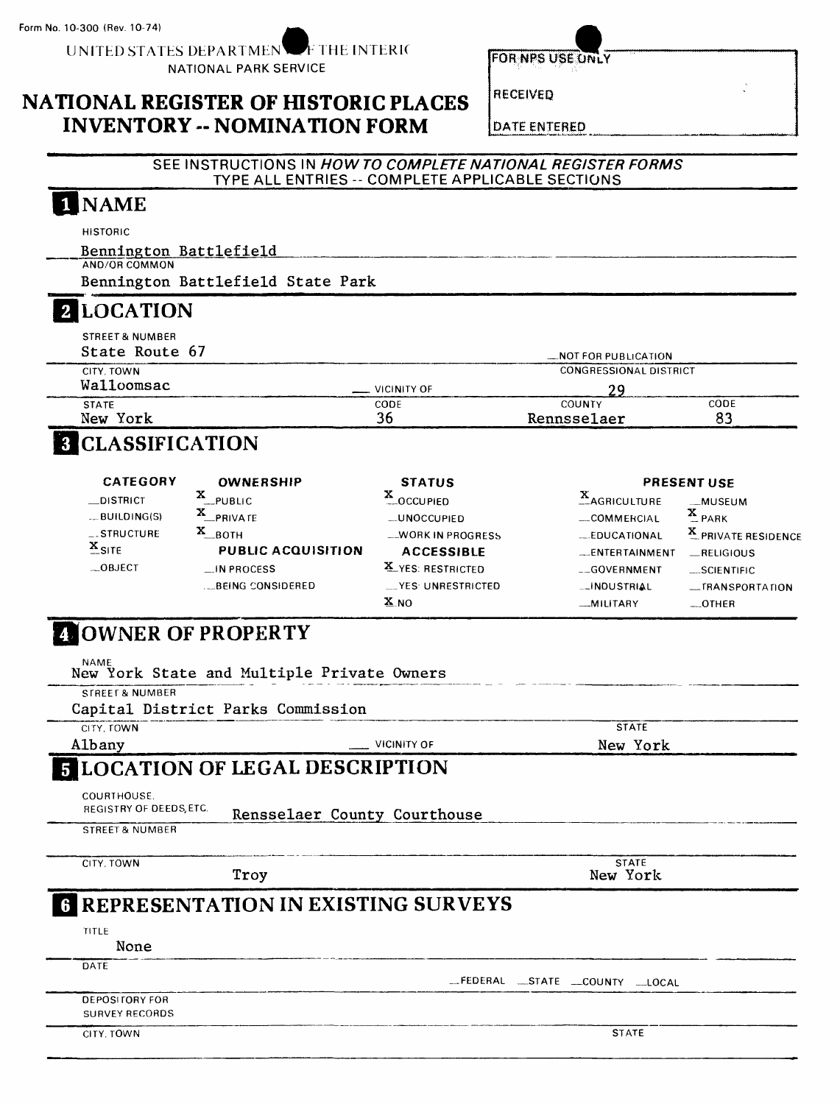UNITED STATES DEPARTMENLATHE INTERIC NATIONAL PARK SERVICE

### NATIONAL REGISTER OF HISTORIC PLACES INVENTORY -- NOMINATION FORM

FOR NPS USE ONLY

**RECEIVED** 

DATE ENTERED

### SEE INSTRUCTIONS IN **HOW TO COMPLETE NATIONAL REGISTER FORMS**  TYPE ALL ENTRIES -- COMPLETE APPLICABLE SECTIONS

| <b>NAME</b>                                                                                                           |                                                |                                   |                                        |  |
|-----------------------------------------------------------------------------------------------------------------------|------------------------------------------------|-----------------------------------|----------------------------------------|--|
| <b>HISTORIC</b>                                                                                                       |                                                |                                   |                                        |  |
| Bennington Battlefield                                                                                                |                                                |                                   |                                        |  |
| AND/OR COMMON<br>Bennington Battlefield State Park                                                                    |                                                |                                   |                                        |  |
| 2 LOCATION                                                                                                            |                                                |                                   |                                        |  |
| <b>STREET &amp; NUMBER</b>                                                                                            |                                                |                                   |                                        |  |
| State Route 67                                                                                                        |                                                | <b>_NOT FOR PUBLICATION</b>       |                                        |  |
| CITY. TOWN<br>Walloomsac                                                                                              |                                                | <b>CONGRESSIONAL DISTRICT</b>     |                                        |  |
| <b>STATE</b>                                                                                                          | <b>VICINITY OF</b><br>CODE                     | 29<br>COUNTY                      | CODE                                   |  |
| New York                                                                                                              | 36                                             | Rennsselaer                       | 83                                     |  |
| <b>CLASSIFICATION</b>                                                                                                 |                                                |                                   |                                        |  |
| <b>CATEGORY</b><br><b>OWNERSHIP</b>                                                                                   | <b>STATUS</b>                                  |                                   | <b>PRESENT USE</b>                     |  |
| $X$ PUBLIC<br>_DISTRICT<br>$\mathbf{x}_{\text{PRIVA TE}}$<br>$-$ BUILDING(S)                                          | $\underline{x}$ _OCCUPIED                      | <b>X</b> AGRICULTURE              | _MUSEUM<br>$\frac{\mathbf{X}}{2}$ PARK |  |
| $X$ <sub>BOTH</sub><br>STRUCTURE                                                                                      | <b>__UNOCCUPIED</b><br><b>WORK IN PROGRESS</b> | _COMMERCIAL<br>-EDUCATIONAL       | X PRIVATE RESIDENCE                    |  |
| $X_{SITE}$<br><b>PUBLIC ACQUISITION</b>                                                                               | <b>ACCESSIBLE</b>                              | _ENTERTAINMENT                    | $-$ RELIGIOUS                          |  |
| $-$ OBJECT<br>$\equiv$ IN PROCESS                                                                                     | <b>X</b> YES: RESTRICTED                       | --GOVERNMENT                      | SCIENTIFIC                             |  |
| <b>LBEING CONSIDERED</b>                                                                                              | __YES UNRESTRICTED                             | -INDUSTRIAL                       | <b>__TRANSPORTATION</b>                |  |
|                                                                                                                       | $X_{NO}$                                       | -MILITARY                         | $$ OTHER                               |  |
| NAME<br>New York State and Multiple Private Owners<br><b>STREET &amp; NUMBER</b><br>Capital District Parks Commission |                                                |                                   |                                        |  |
| CITY, TOWN<br>Albany                                                                                                  | <b>VICINITY OF</b>                             | <b>STATE</b><br>New York          |                                        |  |
| <b>LOCATION OF LEGAL DESCRIPTION</b>                                                                                  |                                                |                                   |                                        |  |
| COURTHOUSE,<br>REGISTRY OF DEEDS ETC.<br>Rensselaer County Courthouse<br><b>STREET &amp; NUMBER</b>                   |                                                |                                   |                                        |  |
| CITY. TOWN<br>Troy                                                                                                    |                                                | <b>STATE</b><br>New York          |                                        |  |
| <b>REPRESENTATION IN EXISTING SURVEYS</b><br>TITLE<br>None                                                            |                                                |                                   |                                        |  |
| DATE                                                                                                                  |                                                | _FEDERAL __STATE __COUNTY __LOCAL |                                        |  |
|                                                                                                                       |                                                |                                   |                                        |  |
| <b>DEPOSITORY FOR</b><br>SURVEY RECORDS                                                                               |                                                |                                   |                                        |  |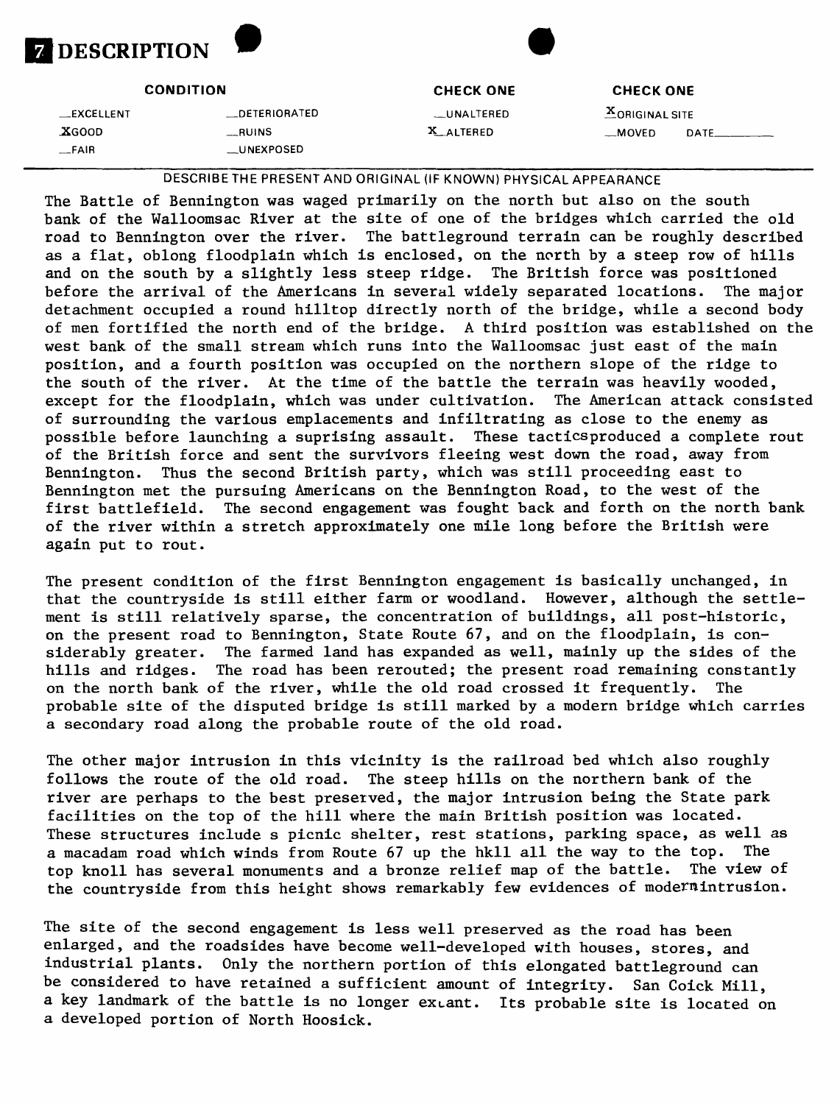

#### CONDITION

—EXCELLENT —DETERIORATED XGOOD RUINS \_FAIR \_UNEXPOSED

CHECK ONE —UNALTERED

X ALTERED

CHECK ONE

**X**ORIGINAL SITE \_\_MOVED DATE\_\_\_

DESCRIBETHE PRESENT AND ORIGINAL (IF KNOWN) PHYSICAL APPEARANCE

The Battle of Bennington was waged primarily on the north but also on the south bank of the Walloomsac River at the site of one of the bridges which carried the old road to Bennington over the river. The battleground terrain can be roughly described as a flat, oblong floodplain which is enclosed, on the north by a steep row of hills and on the south by a slightly less steep ridge. The British force was positioned before the arrival of the Americans in several widely separated locations. The major detachment occupied a round hilltop directly north of the bridge, while a second body of men fortified the north end of the bridge. A third position was established on the west bank of the small stream which runs into the Walloomsac just east of the main position, and a fourth position was occupied on the northern slope of the ridge to the south of the river. At the time of the battle the terrain was heavily wooded, except for the floodplain, which was under cultivation. The American attack consisted of surrounding the various emplacements and infiltrating as close to the enemy as possible before launching a suprising assault. These tacticsproduced a complete rout of the British force and sent the survivors fleeing west down the road, away from Bennington. Thus the second British party, which was still proceeding east to Bennington met the pursuing Americans on the Bennington Road, to the west of the first battlefield. The second engagement was fought back and forth on the north bank of the river within a stretch approximately one mile long before the British were again put to rout.

The present condition of the first Bennington engagement is basically unchanged, in that the countryside is still either farm or woodland. However, although the settlement is still relatively sparse, the concentration of buildings, all post-historic, on the present road to Bennington, State Route 67, and on the floodplain, is considerably greater. The farmed land has expanded as well, mainly up the sides of the hills and ridges. The road has been rerouted; the present road remaining constantly on the north bank of the river, while the old road crossed it frequently. The probable site of the disputed bridge is still marked by a modern bridge which carries a secondary road along the probable route of the old road.

The other major intrusion in this vicinity is the railroad bed which also roughly follows the route of the old road. The steep hills on the northern bank of the river are perhaps to the best preserved, the major intrusion being the State park facilities on the top of the hill where the main British position was located. These structures include s picnic shelter, rest stations, parking space, as well as a macadam road which winds from Route 67 up the hkll all the way to the top. The top knoll has several monuments and a bronze relief map of the battle. The view of the countryside from this height shows remarkably few evidences of modernintrusion.

The site of the second engagement is less well preserved as the road has been enlarged, and the roadsides have become well-developed with houses, stores, and industrial plants. Only the northern portion of this elongated battleground can be considered to have retained a sufficient amount of integrity. San Coick Mill, a key landmark of the battle is no longer extant. Its probable site is located on a developed portion of North Hoosick.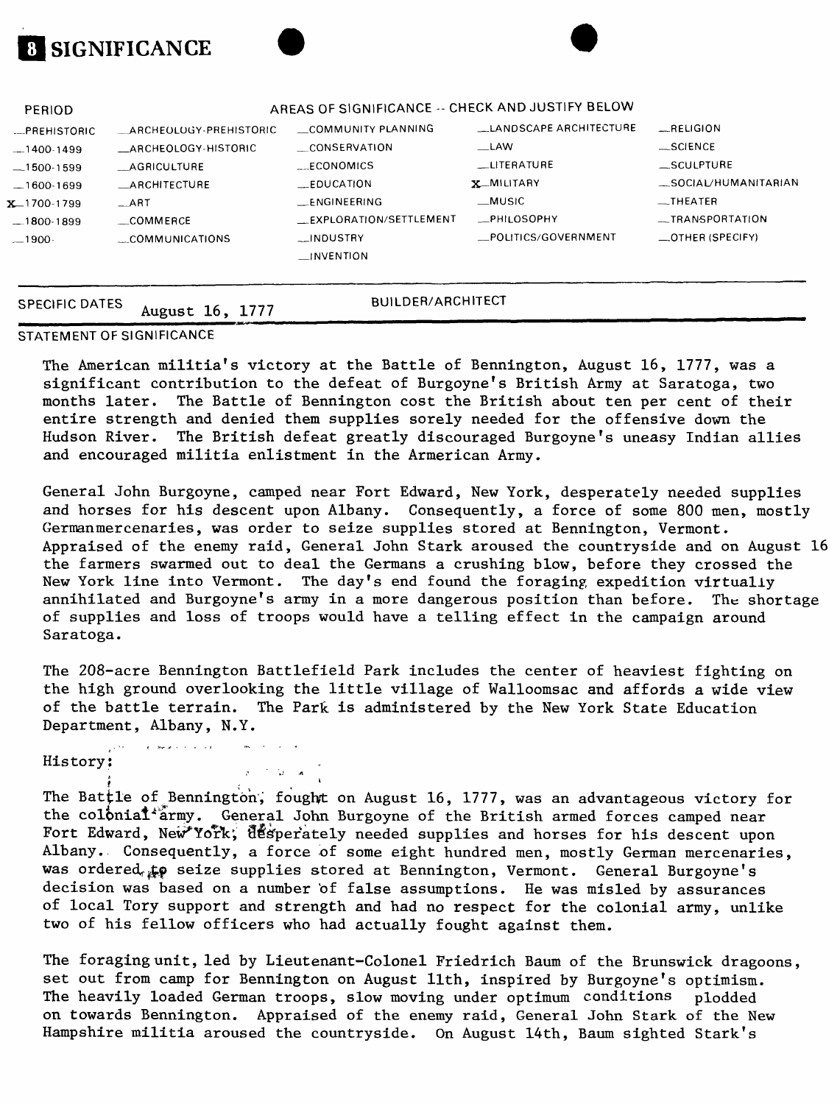| <b>LA SIGIAILIAUARE</b> |                        |                                                  |                        |                          |  |
|-------------------------|------------------------|--------------------------------------------------|------------------------|--------------------------|--|
|                         |                        |                                                  |                        |                          |  |
| PERIOD                  |                        | AREAS OF SIGNIFICANCE -- CHECK AND JUSTIFY BELOW |                        |                          |  |
| _PREHISTORIC            | ARCHEOLOGY-PREHISTORIC | COMMUNITY PLANNING                               | LANDSCAPE ARCHITECTURE | RELIGION                 |  |
| $-1400-1499$            | ARCHEOLOGY-HISTORIC    | CONSERVATION                                     | $\equiv$ LAW           | $\_$ SCIENCE             |  |
| $-1500-1599$            | <b>AGRICULTURE</b>     | $_{-}$ ECONOMICS                                 | <b>LUTERATURE</b>      | $\_$ SCULPTURE           |  |
| $-1600-1699$            | _ARCHITECTURE          | $\equiv$ EDUCATION                               | X_MILITARY             | SOCIAL/HUMANITARIAN      |  |
| <b>x</b> 1700-1799      | $-$ ART                | __ENGINEERING                                    | _MUSIC                 | $-$ THEATER              |  |
| $-1800-1899$            | COMMERCE               | FXPLORATION/SETTLEMENT                           | _PHILOSOPHY            | __TRANSPORTATION         |  |
| $-1900 -$               | COMMUNICATIONS         | __INDUSTRY                                       | _POLITICS/GOVERNMENT   | $\equiv$ OTHER (SPECIFY) |  |
|                         |                        | INVENTION                                        |                        |                          |  |
|                         |                        |                                                  |                        |                          |  |

### SPECIFIC DATES August 16, 1777

BUILDER/ARCHITECT

#### STATEMENT OF SIGNIFICANCE

*\m* **SIGNIFICANCE**

The American militia's victory at the Battle of Bennington, August 16, 1777, was a significant contribution to the defeat of Burgoyne's British Army at Saratoga, two months later. The Battle of Bennington cost the British about ten per cent of their entire strength and denied them supplies sorely needed for the offensive down the Hudson River. The British defeat greatly discouraged Burgoyne's uneasy Indian allies and encouraged militia enlistment in the Armerican Army.

General John Burgoyne, camped near Fort Edward, New York, desperately needed supplies and horses for his descent upon Albany. Consequently, a force of some 800 men, mostly Germanmercenaries, was order to seize supplies stored at Bennington, Vermont. Appraised of the enemy raid, General John Stark aroused the countryside and on August 16 the farmers swarmed out to deal the Germans a crushing blow, before they crossed the New York line into Vermont. The day's end found the foraging expedition virtually annihilated and Burgoyne's army in a more dangerous position than before. The shortage of supplies and loss of troops would have a telling effect in the campaign around Saratoga.

The 208-acre Bennington Battlefield Park includes the center of heaviest fighting on the high ground overlooking the little village of Walloomsac and affords a wide view of the battle terrain. The Park is administered by the New York State Education Department, Albany, N.Y.

 $History:$   $\qquad \qquad$ 

أمان والمعاري ورايا ويوسط وال

The Battle of Bennington, fought on August 16, 1777, was an advantageous victory for the colonial<sup>4</sup> army. General John Burgoyne of the British armed forces camped near Fort Edward, New York; desperately needed supplies and horses for his descent upon Albany. Consequently, a force of some eight hundred men, mostly German mercenaries, was ordered to seize supplies stored at Bennington, Vermont. General Burgoyne's decision was based on a number 'of false assumptions. He was misled by assurances of local Tory support and strength and had no respect for the colonial army, unlike two of his fellow officers who had actually fought against them.

The foraging unit, led by Lieutenant-Colonel Friedrich Baum of the Brunswick dragoons, set out from camp for Bennington on August llth, inspired by Burgoyne's optimism. The heavily loaded German troops, slow moving under optimum conditions plodded on towards Bennington. Appraised of the enemy raid, General John Stark of the New Hampshire militia aroused the countryside. On August 14th, Baum sighted Stark's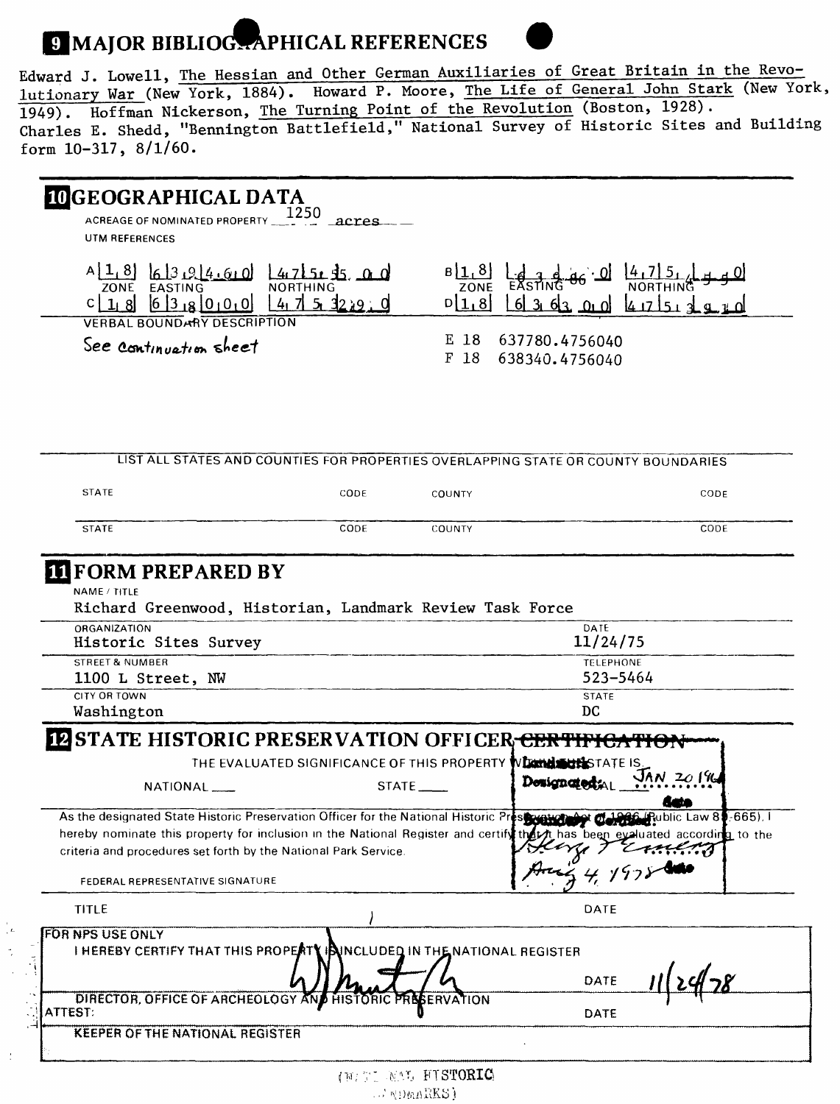# **9 MAJOR BIBLIOG. APHICAL REFERENCES**



Edward J. Lowell, The Hessian and Other German Auxiliaries of Great Britain in the Revolutionary War (New York, 1884). Howard P. Moore, The Life of General John Stark (New York, 1949). Hoffman Nickerson, The Turning Point of the Revolution (Boston, 1928). Charles E. Shedd, "Bennington Battlefield," National Survey of Historic Sites and Building form 10-317, 8/1/60.

## **DGEOGRAPHICAL DATA**

 $, t$ 

ACREAGE OF NOMINATED PROPERTY \_\_.. \_T UTM REFERENCES

| $63.24.60$ $475.35$<br><b>NORTHING</b><br>EASTING<br>ZONE<br>$C+1$ | $\frac{4.715}{NORTHING} + 40$<br>$\frac{1}{2}$ $\frac{1}{2}$ $\frac{1}{2}$ $\frac{1}{2}$ $\frac{1}{2}$ $\frac{1}{2}$ $\frac{1}{2}$ $\frac{1}{2}$ $\frac{1}{2}$ $\frac{1}{2}$ $\frac{1}{2}$ $\frac{1}{2}$ $\frac{1}{2}$ $\frac{1}{2}$ $\frac{1}{2}$ $\frac{1}{2}$ $\frac{1}{2}$ $\frac{1}{2}$ $\frac{1}{2}$ $\frac{1}{2}$ $\frac{1}{2}$ $\frac{1}{2}$<br>ZONE<br>1636300'<br>D[1, 8]<br>417513970 |
|--------------------------------------------------------------------|--------------------------------------------------------------------------------------------------------------------------------------------------------------------------------------------------------------------------------------------------------------------------------------------------------------------------------------------------------------------------------------------------|
| <b>VERBAL BOUNDARY DESCRIPTION</b>                                 |                                                                                                                                                                                                                                                                                                                                                                                                  |
| See continuation sheet                                             | 637780.4756040<br>E 18<br>638340.4756040<br>18                                                                                                                                                                                                                                                                                                                                                   |

|                                                                                                                                                                                                                                                                     |                                                              |                                                     | LIST ALL STATES AND COUNTIES FOR PROPERTIES OVERLAPPING STATE OR COUNTY BOUNDARIES |      |
|---------------------------------------------------------------------------------------------------------------------------------------------------------------------------------------------------------------------------------------------------------------------|--------------------------------------------------------------|-----------------------------------------------------|------------------------------------------------------------------------------------|------|
| <b>STATE</b>                                                                                                                                                                                                                                                        | CODE                                                         | COUNTY                                              |                                                                                    | CODE |
| <b>STATE</b>                                                                                                                                                                                                                                                        | CODE                                                         | COUNTY                                              |                                                                                    | CODE |
| <b>IT FORM PREPARED BY</b>                                                                                                                                                                                                                                          |                                                              |                                                     |                                                                                    |      |
| NAME / TITLE                                                                                                                                                                                                                                                        |                                                              |                                                     |                                                                                    |      |
| Richard Greenwood, Historian, Landmark Review Task Force                                                                                                                                                                                                            |                                                              |                                                     |                                                                                    |      |
| <b>ORGANIZATION</b><br>Historic Sites Survey                                                                                                                                                                                                                        |                                                              |                                                     | DATE<br>11/24/75                                                                   |      |
| <b>STREET &amp; NUMBER</b>                                                                                                                                                                                                                                          |                                                              |                                                     | <b>TELEPHONE</b>                                                                   |      |
| 1100 L Street, NW                                                                                                                                                                                                                                                   |                                                              |                                                     | 523-5464                                                                           |      |
| <b>CITY OR TOWN</b>                                                                                                                                                                                                                                                 |                                                              |                                                     | <b>STATE</b>                                                                       |      |
| Washington                                                                                                                                                                                                                                                          |                                                              |                                                     | DC                                                                                 |      |
|                                                                                                                                                                                                                                                                     | THE EVALUATED SIGNIFICANCE OF THIS PROPERTY WIRKLESS TATE IS | <b>IZ STATE HISTORIC PRESERVATION OFFICER CERTH</b> | JAN 20196<br>Desianati                                                             |      |
| NATIONAL<br>As the designated State Historic Preservation Officer for the National Historic Preservation<br>hereby nominate this property for inclusion in the National Register and certify the<br>criteria and procedures set forth by the National Park Service. |                                                              | <b>STATE</b>                                        | 01-1966 Public Law 81-665).<br>the has been evaluated according to the             |      |
| FEDERAL REPRESENTATIVE SIGNATURE<br>TITLE<br><b>FOR NPS USE ONLY</b>                                                                                                                                                                                                |                                                              |                                                     | <b>DATE</b>                                                                        |      |

INATE NAT. FISTORIC UNIVERSITY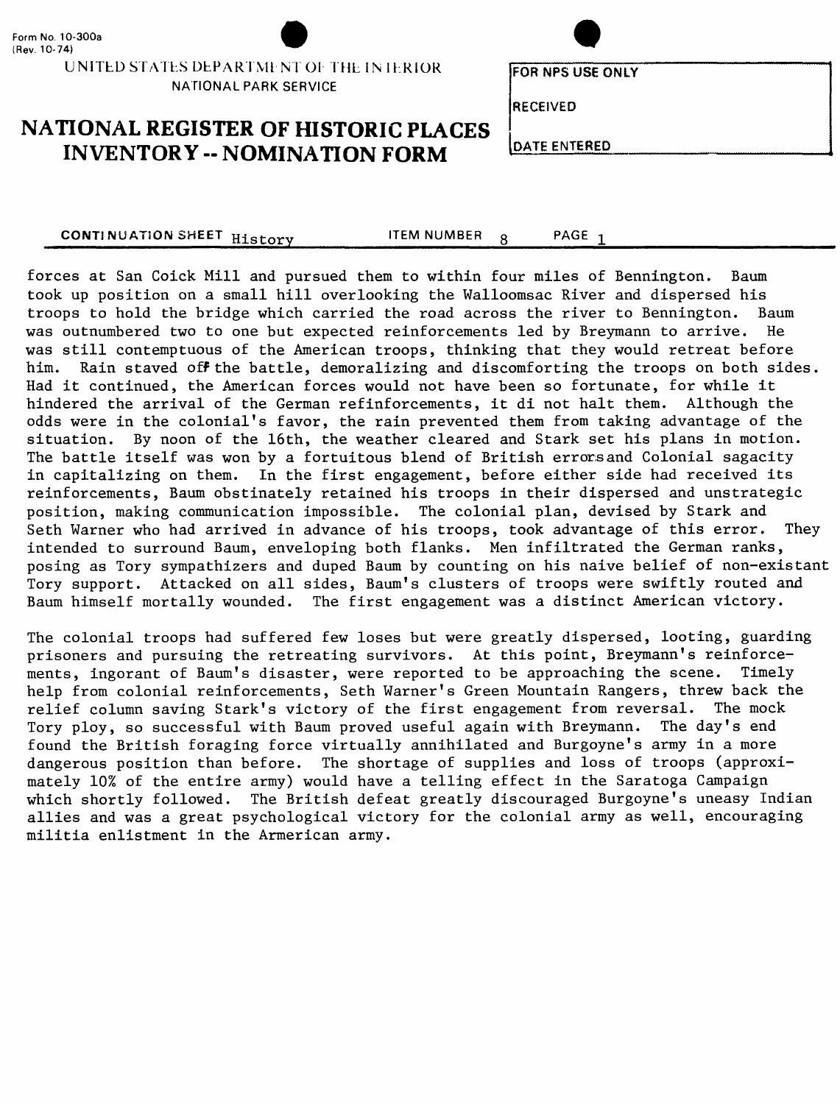**Form No. 10-300a (Rev. 10-74)**

> UNITED STATES DEPARTMENT OF THE IN IERIOR **NATIONAL PARK SERVICE**



**FOR NPS USE ONiY**

**RECEIVED**

### **NATIONAL REGISTER OF HISTORIC PLACES INVENTORY -- NOMINATION FORM**

**DATE ENTERED**

**CONTINUATION SHEET**  $\overline{H}$ **History** ITEM NUMBER  $\overline{g}$  PAGE

forces at San Coick Mill and pursued them to within four miles of Bennington. Baum took up position on a small hill overlooking the Walloomsac River and dispersed his troops to hold the bridge which carried the road across the river to Bennington. Baum was outnumbered two to one but expected reinforcements led by Breymann to arrive. He was still contemptuous of the American troops, thinking that they would retreat before him. Rain staved off the battle, demoralizing and discomforting the troops on both sides. Had it continued, the American forces would not have been so fortunate, for while it hindered the arrival of the German refinforcements, it di not halt them. Although the odds were in the colonial's favor, the rain prevented them from taking advantage of the situation. By noon of the 16th, the weather cleared and Stark set his plans in motion. The battle itself was won by a fortuitous blend of British errors and Colonial sagacity in capitalizing on them. In the first engagement, before either side had received its reinforcements, Baum obstinately retained his troops in their dispersed and unstrategic position, making communication impossible. The colonial plan, devised by Stark and Seth Warner who had arrived in advance of his troops, took advantage of this error. They intended to surround Baum, enveloping both flanks. Men infiltrated the German ranks, posing as Tory sympathizers and duped Baum by counting on his naive belief of non-existant Tory support. Attacked on all sides, Baum's clusters of troops were swiftly routed and Baum himself mortally wounded. The first engagement was a distinct American victory.

The colonial troops had suffered few loses but were greatly dispersed, looting, guarding prisoners and pursuing the retreating survivors. At this point, Breymann's reinforcements, ingorant of Baum's disaster, were reported to be approaching the scene. Timely help from colonial reinforcements, Seth Warner's Green Mountain Rangers, threw back the relief column saving Stark's victory of the first engagement from reversal. The mock Tory ploy, so successful with Baum proved useful again with Breymann. The day's end found the British foraging force virtually annihilated and Burgoyne's army in a more dangerous position than before. The shortage of supplies and loss of troops (approximately 10% of the entire army) would have a telling effect in the Saratoga Campaign which shortly followed. The British defeat greatly discouraged Burgoyne's uneasy Indian allies and was a great psychological victory for the colonial army as well, encouraging militia enlistment in the Armerican army.